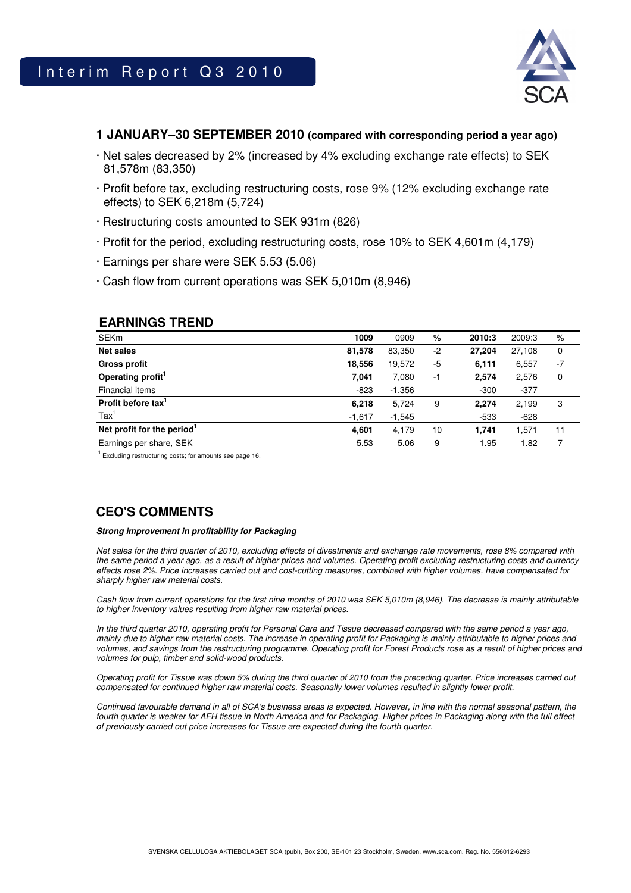

## **1 JANUARY–30 SEPTEMBER 2010 (compared with corresponding period a year ago)**

- · Net sales decreased by 2% (increased by 4% excluding exchange rate effects) to SEK 81,578m (83,350)
- · Profit before tax, excluding restructuring costs, rose 9% (12% excluding exchange rate effects) to SEK 6,218m (5,724)
- · Restructuring costs amounted to SEK 931m (826)
- · Profit for the period, excluding restructuring costs, rose 10% to SEK 4,601m (4,179)
- · Earnings per share were SEK 5.53 (5.06)
- · Cash flow from current operations was SEK 5,010m (8,946)

## **EARNINGS TREND**

| <b>SEKm</b>                            | 1009     | 0909     | $\%$ | 2010:3 | 2009:3 | %    |
|----------------------------------------|----------|----------|------|--------|--------|------|
| <b>Net sales</b>                       | 81,578   | 83,350   | $-2$ | 27,204 | 27,108 | 0    |
|                                        |          |          |      |        |        | $-7$ |
| <b>Gross profit</b>                    | 18,556   | 19,572   | -5   | 6,111  | 6,557  |      |
| Operating profit <sup>1</sup>          | 7,041    | 7,080    | $-1$ | 2,574  | 2,576  | 0    |
| Financial items                        | $-823$   | $-1,356$ |      | $-300$ | $-377$ |      |
| Profit before tax <sup>1</sup>         | 6,218    | 5,724    | 9    | 2,274  | 2,199  | 3    |
| $\text{Tax}^1$                         | $-1,617$ | $-1,545$ |      | $-533$ | $-628$ |      |
| Net profit for the period <sup>1</sup> | 4,601    | 4,179    | 10   | 1.741  | 1.571  | 11   |
| Earnings per share, SEK                | 5.53     | 5.06     | 9    | 1.95   | 1.82   | 7    |

 $1$  Excluding restructuring costs; for amounts see page 16.

# **CEO'S COMMENTS**

#### **Strong improvement in profitability for Packaging**

Net sales for the third quarter of 2010, excluding effects of divestments and exchange rate movements, rose 8% compared with the same period a year ago, as a result of higher prices and volumes. Operating profit excluding restructuring costs and currency effects rose 2%. Price increases carried out and cost-cutting measures, combined with higher volumes, have compensated for sharply higher raw material costs.

Cash flow from current operations for the first nine months of 2010 was SEK 5,010m (8,946). The decrease is mainly attributable to higher inventory values resulting from higher raw material prices.

In the third quarter 2010, operating profit for Personal Care and Tissue decreased compared with the same period a year ago, mainly due to higher raw material costs. The increase in operating profit for Packaging is mainly attributable to higher prices and volumes, and savings from the restructuring programme. Operating profit for Forest Products rose as a result of higher prices and volumes for pulp, timber and solid-wood products.

Operating profit for Tissue was down 5% during the third quarter of 2010 from the preceding quarter. Price increases carried out compensated for continued higher raw material costs. Seasonally lower volumes resulted in slightly lower profit.

Continued favourable demand in all of SCA's business areas is expected. However, in line with the normal seasonal pattern, the fourth quarter is weaker for AFH tissue in North America and for Packaging. Higher prices in Packaging along with the full effect of previously carried out price increases for Tissue are expected during the fourth quarter.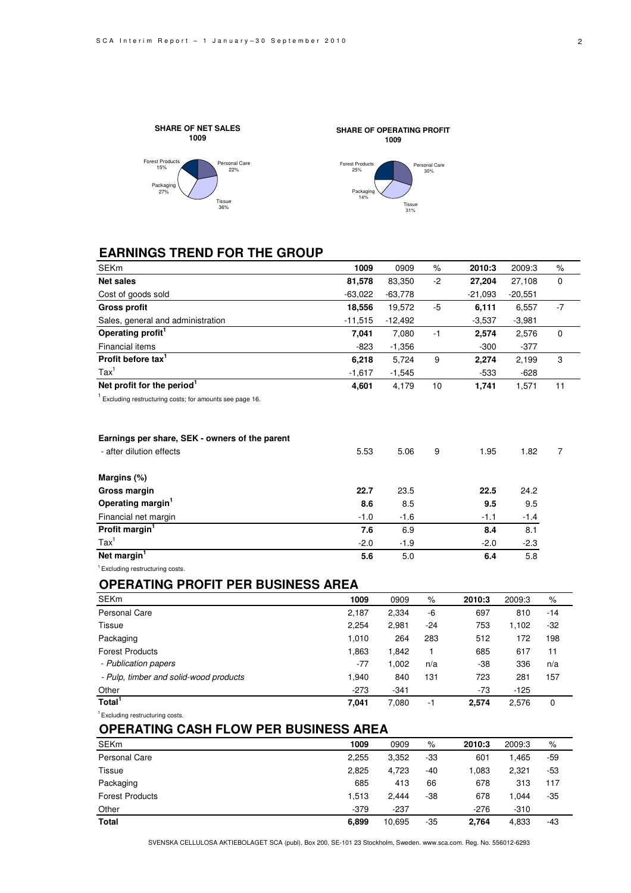



# **EARNINGS TREND FOR THE GROUP**

| SEKm                                                                 | 1009      | 0909      | $\%$  | 2010:3    | 2009:3    | %           |
|----------------------------------------------------------------------|-----------|-----------|-------|-----------|-----------|-------------|
| <b>Net sales</b>                                                     | 81,578    | 83,350    | $-2$  | 27,204    | 27,108    | $\mathbf 0$ |
| Cost of goods sold                                                   | $-63,022$ | $-63,778$ |       | $-21,093$ | $-20,551$ |             |
| <b>Gross profit</b>                                                  | 18,556    | 19,572    | $-5$  | 6,111     | 6,557     | $-7$        |
| Sales, general and administration                                    | $-11,515$ | $-12,492$ |       | $-3,537$  | $-3,981$  |             |
| Operating profit <sup>1</sup>                                        | 7,041     | 7,080     | $-1$  | 2,574     | 2,576     | 0           |
| <b>Financial items</b>                                               | $-823$    | $-1,356$  |       | $-300$    | $-377$    |             |
| Profit before tax <sup>1</sup>                                       | 6,218     | 5,724     | 9     | 2,274     | 2,199     | 3           |
| $\text{Tax}^1$                                                       | $-1,617$  | $-1,545$  |       | $-533$    | $-628$    |             |
| Net profit for the period <sup>1</sup>                               | 4,601     | 4,179     | 10    | 1,741     | 1,571     | 11          |
| <sup>1</sup> Excluding restructuring costs; for amounts see page 16. |           |           |       |           |           |             |
| Earnings per share, SEK - owners of the parent                       |           |           |       |           |           |             |
| - after dilution effects                                             | 5.53      | 5.06      | 9     | 1.95      | 1.82      | 7           |
| Margins (%)                                                          |           |           |       |           |           |             |
| Gross margin                                                         | 22.7      | 23.5      |       | 22.5      | 24.2      |             |
| Operating margin <sup>1</sup>                                        | 8.6       | 8.5       |       | 9.5       | 9.5       |             |
| Financial net margin                                                 | $-1.0$    | $-1.6$    |       | $-1.1$    | $-1.4$    |             |
| Profit margin <sup>1</sup>                                           | 7.6       | 6.9       |       | 8.4       | 8.1       |             |
| $\text{Tax}^1$                                                       | $-2.0$    | $-1.9$    |       | $-2.0$    | $-2.3$    |             |
| Net margin <sup>1</sup>                                              | 5.6       | 5.0       |       | 6.4       | 5.8       |             |
| <sup>1</sup> Excluding restructuring costs.                          |           |           |       |           |           |             |
| <b>OPERATING PROFIT PER BUSINESS AREA</b>                            |           |           |       |           |           |             |
| <b>SEKm</b>                                                          | 1009      | 0909      | $\%$  | 2010:3    | 2009:3    | $\%$        |
| <b>Personal Care</b>                                                 | 2,187     | 2,334     | -6    | 697       | 810       | $-14$       |
| <b>Tissue</b>                                                        | 2,254     | 2,981     | $-24$ | 753       | 1,102     | $-32$       |
| Packaging                                                            | 1,010     | 264       | 283   | 512       | 172       | 198         |
| <b>Forest Products</b>                                               | 1,863     | 1,842     | 1     | 685       | 617       | 11          |
| - Publication papers                                                 | $-77$     | 1,002     | n/a   | $-38$     | 336       | n/a         |
| - Pulp, timber and solid-wood products                               | 1,940     | 840       | 131   | 723       | 281       | 157         |

| Other | $\sim$<br>- | 34<br>. . | $\overline{\phantom{a}}$ | ∩⊏ |
|-------|-------------|-----------|--------------------------|----|
|       |             |           |                          |    |

**Total<sup>1</sup>**

### <sup>1</sup> Excluding restructuring costs.

# **OPERATING CASH FLOW PER BUSINESS AREA**

| <b>SEKm</b>            | 1009   | 0909   | $\%$  | 2010:3 | 2009:3 | %   |
|------------------------|--------|--------|-------|--------|--------|-----|
| Personal Care          | 2,255  | 3,352  | -33   | 601    | 1.465  | -59 |
| Tissue                 | 2,825  | 4,723  | -40   | 083    | 2,321  | -53 |
| Packaging              | 685    | 413    | 66    | 678    | 313    | 117 |
| <b>Forest Products</b> | 1.513  | 2.444  | $-38$ | 678    | 1.044  | -35 |
| Other                  | $-379$ | $-237$ |       | $-276$ | $-310$ |     |
| Total                  | 6,899  | 10,695 | -35   | 2.764  | 4,833  | -43 |

**7,041** 7,080 -1 **2,574** 2,576 0

SVENSKA CELLULOSA AKTIEBOLAGET SCA (publ), Box 200, SE-101 23 Stockholm, Sweden. www.sca.com. Reg. No. 556012-6293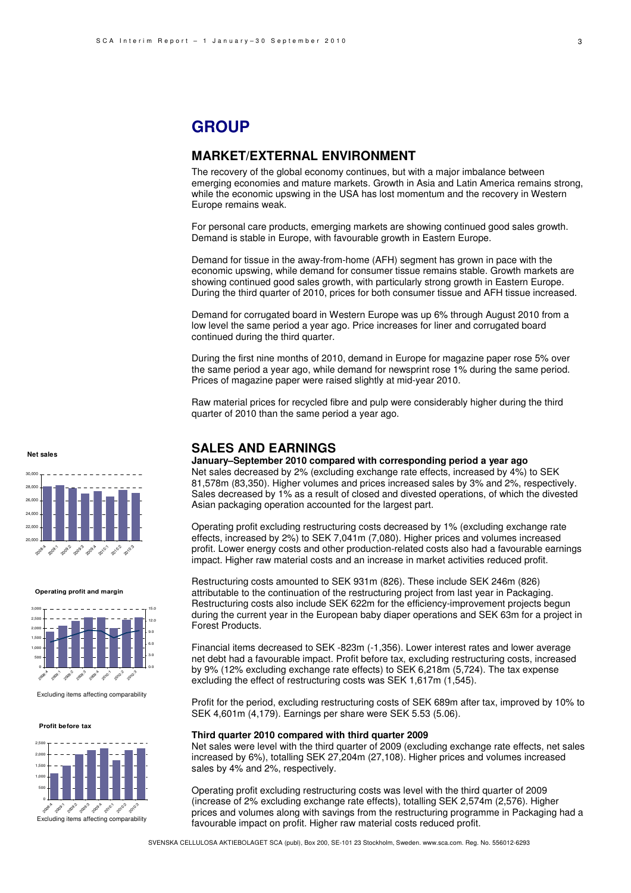# **GROUP**

## **MARKET/EXTERNAL ENVIRONMENT**

The recovery of the global economy continues, but with a major imbalance between emerging economies and mature markets. Growth in Asia and Latin America remains strong, while the economic upswing in the USA has lost momentum and the recovery in Western Europe remains weak.

For personal care products, emerging markets are showing continued good sales growth. Demand is stable in Europe, with favourable growth in Eastern Europe.

Demand for tissue in the away-from-home (AFH) segment has grown in pace with the economic upswing, while demand for consumer tissue remains stable. Growth markets are showing continued good sales growth, with particularly strong growth in Eastern Europe. During the third quarter of 2010, prices for both consumer tissue and AFH tissue increased.

Demand for corrugated board in Western Europe was up 6% through August 2010 from a low level the same period a year ago. Price increases for liner and corrugated board continued during the third quarter.

During the first nine months of 2010, demand in Europe for magazine paper rose 5% over the same period a year ago, while demand for newsprint rose 1% during the same period. Prices of magazine paper were raised slightly at mid-year 2010.

Raw material prices for recycled fibre and pulp were considerably higher during the third quarter of 2010 than the same period a year ago.

## **SALES AND EARNINGS**

**January–September 2010 compared with corresponding period a year ago** Net sales decreased by 2% (excluding exchange rate effects, increased by 4%) to SEK 81,578m (83,350). Higher volumes and prices increased sales by 3% and 2%, respectively. Sales decreased by 1% as a result of closed and divested operations, of which the divested Asian packaging operation accounted for the largest part.

Operating profit excluding restructuring costs decreased by 1% (excluding exchange rate effects, increased by 2%) to SEK 7,041m (7,080). Higher prices and volumes increased profit. Lower energy costs and other production-related costs also had a favourable earnings impact. Higher raw material costs and an increase in market activities reduced profit.

Restructuring costs amounted to SEK 931m (826). These include SEK 246m (826) attributable to the continuation of the restructuring project from last year in Packaging. Restructuring costs also include SEK 622m for the efficiency-improvement projects begun during the current year in the European baby diaper operations and SEK 63m for a project in Forest Products.

Financial items decreased to SEK -823m (-1,356). Lower interest rates and lower average net debt had a favourable impact. Profit before tax, excluding restructuring costs, increased by 9% (12% excluding exchange rate effects) to SEK 6,218m (5,724). The tax expense excluding the effect of restructuring costs was SEK 1,617m (1,545).

Profit for the period, excluding restructuring costs of SEK 689m after tax, improved by 10% to SEK 4,601m (4,179). Earnings per share were SEK 5.53 (5.06).

### **Third quarter 2010 compared with third quarter 2009**

Net sales were level with the third quarter of 2009 (excluding exchange rate effects, net sales increased by 6%), totalling SEK 27,204m (27,108). Higher prices and volumes increased sales by 4% and 2%, respectively.

Operating profit excluding restructuring costs was level with the third quarter of 2009 (increase of 2% excluding exchange rate effects), totalling SEK 2,574m (2,576). Higher prices and volumes along with savings from the restructuring programme in Packaging had a favourable impact on profit. Higher raw material costs reduced profit.

SVENSKA CELLULOSA AKTIEBOLAGET SCA (publ), Box 200, SE-101 23 Stockholm, Sweden. www.sca.com. Reg. No. 556012-6293

**Net sales**



**Operating profit and margin**



Excluding items affecting comparability

**Profit before tax**

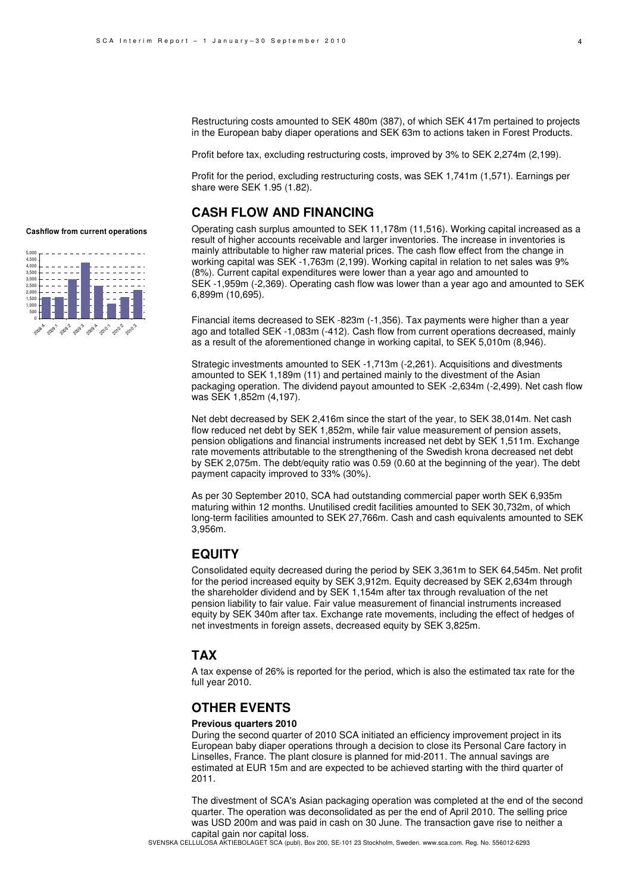Restructuring costs amounted to SEK 480m (387), of which SEK 417m pertained to projects in the European baby diaper operations and SEK 63m to actions taken in Forest Products.

Profit before tax, excluding restructuring costs, improved by 3% to SEK 2,274m (2,199).

Profit for the period, excluding restructuring costs, was SEK 1,741m (1,571). Earnings per share were SEK 1.95 (1.82).

## **CASH FLOW AND FINANCING**

Operating cash surplus amounted to SEK 11,178m (11,516). Working capital increased as a result of higher accounts receivable and larger inventories. The increase in inventories is mainly attributable to higher raw material prices. The cash flow effect from the change in working capital was SEK -1,763m (2,199). Working capital in relation to net sales was 9% (8%). Current capital expenditures were lower than a year ago and amounted to SEK -1,959m (-2,369). Operating cash flow was lower than a year ago and amounted to SEK 6,899m (10,695).

Financial items decreased to SEK -823m (-1,356). Tax payments were higher than a year ago and totalled SEK -1,083m (-412). Cash flow from current operations decreased, mainly as a result of the aforementioned change in working capital, to SEK 5,010m (8,946).

Strategic investments amounted to SEK -1,713m (-2,261). Acquisitions and divestments amounted to SEK 1,189m (11) and pertained mainly to the divestment of the Asian packaging operation. The dividend payout amounted to SEK -2,634m (-2,499). Net cash flow was SEK 1,852m (4,197).

Net debt decreased by SEK 2,416m since the start of the year, to SEK 38,014m. Net cash flow reduced net debt by SEK 1,852m, while fair value measurement of pension assets, pension obligations and financial instruments increased net debt by SEK 1,511m. Exchange rate movements attributable to the strengthening of the Swedish krona decreased net debt by SEK 2,075m. The debt/equity ratio was 0.59 (0.60 at the beginning of the year). The debt payment capacity improved to 33% (30%).

As per 30 September 2010, SCA had outstanding commercial paper worth SEK 6,935m maturing within 12 months. Unutilised credit facilities amounted to SEK 30,732m, of which long-term facilities amounted to SEK 27,766m. Cash and cash equivalents amounted to SEK 3,956m.

## **EQUITY**

Consolidated equity decreased during the period by SEK 3,361m to SEK 64,545m. Net profit for the period increased equity by SEK 3,912m. Equity decreased by SEK 2,634m through the shareholder dividend and by SEK 1,154m after tax through revaluation of the net pension liability to fair value. Fair value measurement of financial instruments increased equity by SEK 340m after tax. Exchange rate movements, including the effect of hedges of net investments in foreign assets, decreased equity by SEK 3,825m.

## **TAX**

A tax expense of 26% is reported for the period, which is also the estimated tax rate for the full year 2010.

# **OTHER EVENTS**

### **Previous quarters 2010**

During the second quarter of 2010 SCA initiated an efficiency improvement project in its European baby diaper operations through a decision to close its Personal Care factory in Linselles, France. The plant closure is planned for mid-2011. The annual savings are estimated at EUR 15m and are expected to be achieved starting with the third quarter of 2011.

The divestment of SCA's Asian packaging operation was completed at the end of the second quarter. The operation was deconsolidated as per the end of April 2010. The selling price was USD 200m and was paid in cash on 30 June. The transaction gave rise to neither a capital gain nor capital loss.

### **Cashflow from current operations**

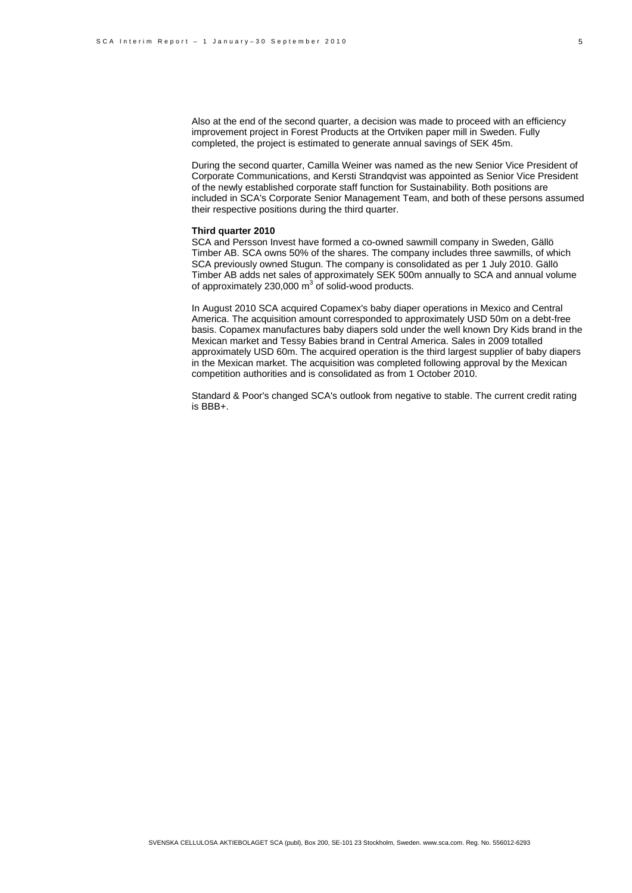Also at the end of the second quarter, a decision was made to proceed with an efficiency improvement project in Forest Products at the Ortviken paper mill in Sweden. Fully completed, the project is estimated to generate annual savings of SEK 45m.

During the second quarter, Camilla Weiner was named as the new Senior Vice President of Corporate Communications, and Kersti Strandqvist was appointed as Senior Vice President of the newly established corporate staff function for Sustainability. Both positions are included in SCA's Corporate Senior Management Team, and both of these persons assumed their respective positions during the third quarter.

#### **Third quarter 2010**

SCA and Persson Invest have formed a co-owned sawmill company in Sweden, Gällö Timber AB. SCA owns 50% of the shares. The company includes three sawmills, of which SCA previously owned Stugun. The company is consolidated as per 1 July 2010. Gällö Timber AB adds net sales of approximately SEK 500m annually to SCA and annual volume of approximately 230,000  $m^3$  of solid-wood products.

In August 2010 SCA acquired Copamex's baby diaper operations in Mexico and Central America. The acquisition amount corresponded to approximately USD 50m on a debt-free basis. Copamex manufactures baby diapers sold under the well known Dry Kids brand in the Mexican market and Tessy Babies brand in Central America. Sales in 2009 totalled approximately USD 60m. The acquired operation is the third largest supplier of baby diapers in the Mexican market. The acquisition was completed following approval by the Mexican competition authorities and is consolidated as from 1 October 2010.

Standard & Poor's changed SCA's outlook from negative to stable. The current credit rating is BBB+.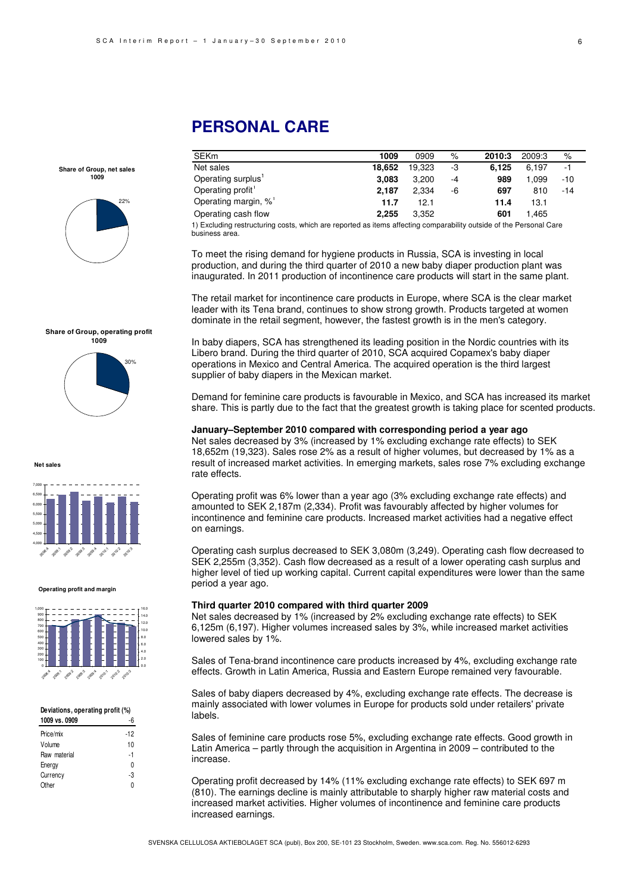# **PERSONAL CARE**

**Share of Group, net sales 1009** 



#### **Share of Group, operating profit**



**Net sales**



#### **Operating profit and margin**



#### **Deviations, operating profit (%)**

| 1009 vs. 0909 |     |
|---------------|-----|
| Price/mix     | -12 |
| Volume        | 10  |
| Raw material  | -1  |
| Energy        | U   |
| Currency      | -3  |
| Other         | n   |
|               |     |

| <b>SEKm</b>                                                                                                         | 1009   | 0909   | %    | 2010:3 | 2009:3 | %     |  |
|---------------------------------------------------------------------------------------------------------------------|--------|--------|------|--------|--------|-------|--|
| Net sales                                                                                                           | 18.652 | 19.323 | -3   | 6.125  | 6.197  | -1    |  |
| Operating surplus'                                                                                                  | 3.083  | 3.200  | $-4$ | 989    | 1.099  | -10   |  |
| Operating profit                                                                                                    | 2.187  | 2.334  | -6   | 697    | 810    | $-14$ |  |
| Operating margin, %'                                                                                                | 11.7   | 12.1   |      | 11.4   | 13.1   |       |  |
| Operating cash flow                                                                                                 | 2.255  | 3.352  |      | 601    | 1.465  |       |  |
| t) Evoluding rootrugturing coata, which are reported as items offeeting comparability outside of the Personal Carol |        |        |      |        |        |       |  |

1) Excluding restructuring costs, which are reported as items affecting comparability outside of the Personal Care business area.

To meet the rising demand for hygiene products in Russia, SCA is investing in local production, and during the third quarter of 2010 a new baby diaper production plant was inaugurated. In 2011 production of incontinence care products will start in the same plant.

The retail market for incontinence care products in Europe, where SCA is the clear market leader with its Tena brand, continues to show strong growth. Products targeted at women dominate in the retail segment, however, the fastest growth is in the men's category.

In baby diapers, SCA has strengthened its leading position in the Nordic countries with its Libero brand. During the third quarter of 2010, SCA acquired Copamex's baby diaper operations in Mexico and Central America. The acquired operation is the third largest supplier of baby diapers in the Mexican market.

Demand for feminine care products is favourable in Mexico, and SCA has increased its market share. This is partly due to the fact that the greatest growth is taking place for scented products.

#### **January–September 2010 compared with corresponding period a year ago**

Net sales decreased by 3% (increased by 1% excluding exchange rate effects) to SEK 18,652m (19,323). Sales rose 2% as a result of higher volumes, but decreased by 1% as a result of increased market activities. In emerging markets, sales rose 7% excluding exchange rate effects.

Operating profit was 6% lower than a year ago (3% excluding exchange rate effects) and amounted to SEK 2,187m (2,334). Profit was favourably affected by higher volumes for incontinence and feminine care products. Increased market activities had a negative effect on earnings.

Operating cash surplus decreased to SEK 3,080m (3,249). Operating cash flow decreased to SEK 2,255m (3,352). Cash flow decreased as a result of a lower operating cash surplus and higher level of tied up working capital. Current capital expenditures were lower than the same period a year ago.

#### **Third quarter 2010 compared with third quarter 2009**

Net sales decreased by 1% (increased by 2% excluding exchange rate effects) to SEK 6,125m (6,197). Higher volumes increased sales by 3%, while increased market activities lowered sales by 1%.

Sales of Tena-brand incontinence care products increased by 4%, excluding exchange rate effects. Growth in Latin America, Russia and Eastern Europe remained very favourable.

Sales of baby diapers decreased by 4%, excluding exchange rate effects. The decrease is mainly associated with lower volumes in Europe for products sold under retailers' private labels.

Sales of feminine care products rose 5%, excluding exchange rate effects. Good growth in Latin America – partly through the acquisition in Argentina in 2009 – contributed to the increase.

Operating profit decreased by 14% (11% excluding exchange rate effects) to SEK 697 m (810). The earnings decline is mainly attributable to sharply higher raw material costs and increased market activities. Higher volumes of incontinence and feminine care products increased earnings.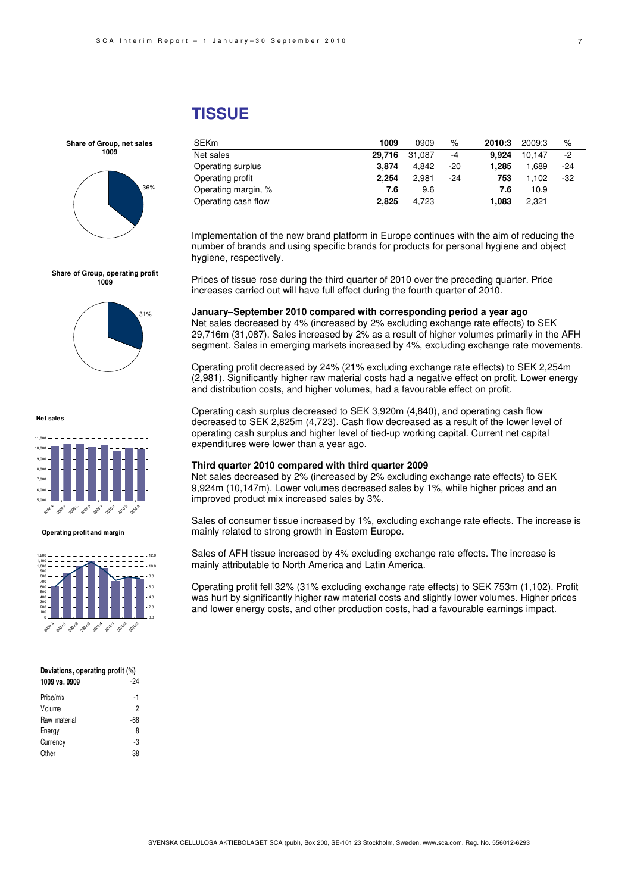#### 7

# **TISSUE**

| <b>SEKm</b>         | 1009   | 0909   | $\%$  | 2010:3 | 2009:3 | $\%$ |
|---------------------|--------|--------|-------|--------|--------|------|
| Net sales           | 29.716 | 31.087 | $-4$  | 9.924  | 10.147 | -2   |
| Operating surplus   | 3.874  | 4.842  | $-20$ | 1.285  | 1.689  | -24  |
| Operating profit    | 2.254  | 2.981  | $-24$ | 753    | 1.102  | -32  |
| Operating margin, % | 7.6    | 9.6    |       | 7.6    | 10.9   |      |
| Operating cash flow | 2.825  | 4.723  |       | 1.083  | 2,321  |      |

Implementation of the new brand platform in Europe continues with the aim of reducing the number of brands and using specific brands for products for personal hygiene and object hygiene, respectively.

Prices of tissue rose during the third quarter of 2010 over the preceding quarter. Price increases carried out will have full effect during the fourth quarter of 2010.

#### **January–September 2010 compared with corresponding period a year ago**

Net sales decreased by 4% (increased by 2% excluding exchange rate effects) to SEK 29,716m (31,087). Sales increased by 2% as a result of higher volumes primarily in the AFH segment. Sales in emerging markets increased by 4%, excluding exchange rate movements.

Operating profit decreased by 24% (21% excluding exchange rate effects) to SEK 2,254m (2,981). Significantly higher raw material costs had a negative effect on profit. Lower energy and distribution costs, and higher volumes, had a favourable effect on profit.

Operating cash surplus decreased to SEK 3,920m (4,840), and operating cash flow decreased to SEK 2,825m (4,723). Cash flow decreased as a result of the lower level of operating cash surplus and higher level of tied-up working capital. Current net capital expenditures were lower than a year ago.

#### **Third quarter 2010 compared with third quarter 2009**

Net sales decreased by 2% (increased by 2% excluding exchange rate effects) to SEK 9,924m (10,147m). Lower volumes decreased sales by 1%, while higher prices and an improved product mix increased sales by 3%.

Sales of consumer tissue increased by 1%, excluding exchange rate effects. The increase is mainly related to strong growth in Eastern Europe.

Sales of AFH tissue increased by 4% excluding exchange rate effects. The increase is mainly attributable to North America and Latin America.

Operating profit fell 32% (31% excluding exchange rate effects) to SEK 753m (1,102). Profit was hurt by significantly higher raw material costs and slightly lower volumes. Higher prices and lower energy costs, and other production costs, had a favourable earnings impact.



**Share of Group, net sales 1009**

**Share of Group, operating profit 1009**



**Net sales**



**Operating profit and margin**



| Deviations, operating profit (%) |  |  |
|----------------------------------|--|--|
| 1000 ve 0000                     |  |  |

| าบบฮ ขจ. บฮบฮ | $\cdot$ |
|---------------|---------|
| Price/mix     | -1      |
| Volume        | 2       |
| Raw material  | $-68$   |
| Energy        | 8       |
| Currency      | -3      |
| Other         | 38      |
|               |         |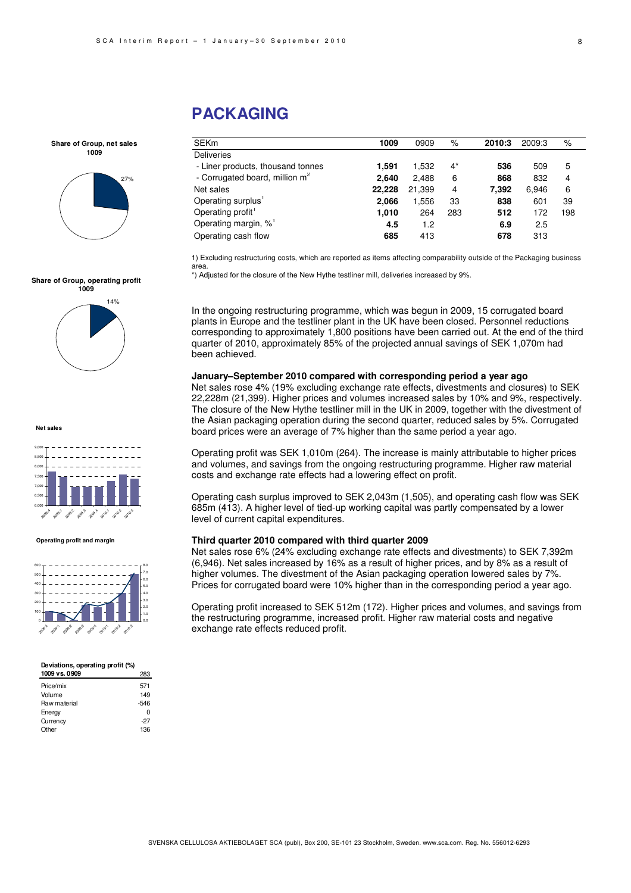# **PACKAGING**

| SEKm                                       | 1009   | 0909   | %     | 2010:3 | 2009:3 | $\%$ |
|--------------------------------------------|--------|--------|-------|--------|--------|------|
| <b>Deliveries</b>                          |        |        |       |        |        |      |
| - Liner products, thousand tonnes          | 1.591  | 1.532  | $4^*$ | 536    | 509    | 5    |
| - Corrugated board, million m <sup>2</sup> | 2.640  | 2.488  | 6     | 868    | 832    | 4    |
| Net sales                                  | 22,228 | 21,399 | 4     | 7,392  | 6.946  | 6    |
| Operating surplus'                         | 2.066  | 1,556  | 33    | 838    | 601    | 39   |
| Operating profit <sup>1</sup>              | 1.010  | 264    | 283   | 512    | 172    | 198  |
| Operating margin, % <sup>1</sup>           | 4.5    | 1.2    |       | 6.9    | 2.5    |      |
| Operating cash flow                        | 685    | 413    |       | 678    | 313    |      |

1) Excluding restructuring costs, which are reported as items affecting comparability outside of the Packaging business area.

\*) Adjusted for the closure of the New Hythe testliner mill, deliveries increased by 9%.

In the ongoing restructuring programme, which was begun in 2009, 15 corrugated board plants in Europe and the testliner plant in the UK have been closed. Personnel reductions corresponding to approximately 1,800 positions have been carried out. At the end of the third quarter of 2010, approximately 85% of the projected annual savings of SEK 1,070m had been achieved.

### **January–September 2010 compared with corresponding period a year ago**

Net sales rose 4% (19% excluding exchange rate effects, divestments and closures) to SEK 22,228m (21,399). Higher prices and volumes increased sales by 10% and 9%, respectively. The closure of the New Hythe testliner mill in the UK in 2009, together with the divestment of the Asian packaging operation during the second quarter, reduced sales by 5%. Corrugated board prices were an average of 7% higher than the same period a year ago.

Operating profit was SEK 1,010m (264). The increase is mainly attributable to higher prices and volumes, and savings from the ongoing restructuring programme. Higher raw material costs and exchange rate effects had a lowering effect on profit.

Operating cash surplus improved to SEK 2,043m (1,505), and operating cash flow was SEK 685m (413). A higher level of tied-up working capital was partly compensated by a lower level of current capital expenditures.

#### **Third quarter 2010 compared with third quarter 2009**

Net sales rose 6% (24% excluding exchange rate effects and divestments) to SEK 7,392m (6,946). Net sales increased by 16% as a result of higher prices, and by 8% as a result of higher volumes. The divestment of the Asian packaging operation lowered sales by 7%. Prices for corrugated board were 10% higher than in the corresponding period a year ago.

Operating profit increased to SEK 512m (172). Higher prices and volumes, and savings from the restructuring programme, increased profit. Higher raw material costs and negative exchange rate effects reduced profit.



**Share of Group, net sales 1009**

27%



**Net sales**



**Operating profit and margin**



#### **Deviations, operating profit (%)**

| 1009 vs. 0909 | 283    |
|---------------|--------|
| Price/mix     | 571    |
| Volume        | 149    |
| Raw material  | $-546$ |
| <b>Energy</b> | ŋ      |
| Currency      | $-27$  |
| Other         | 136    |
|               |        |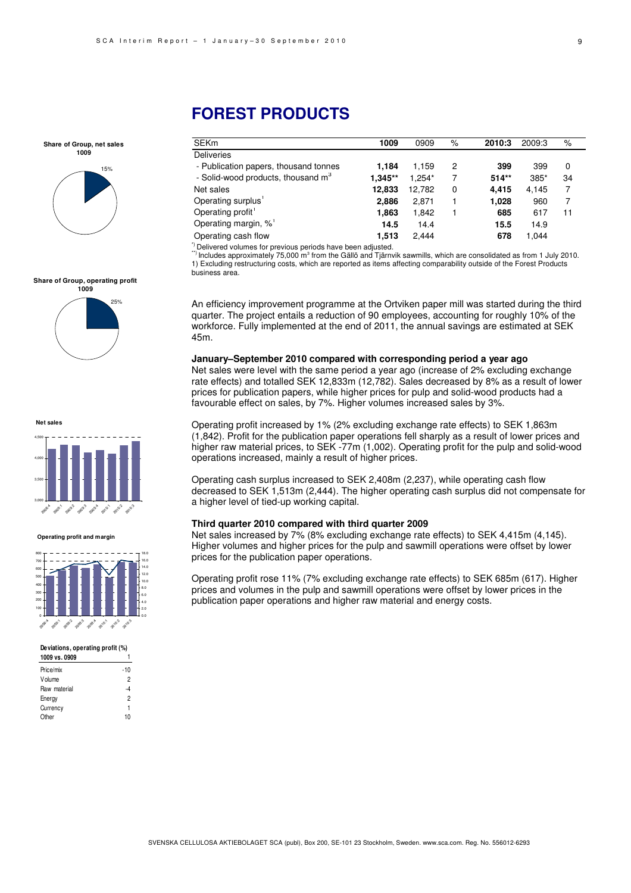#### **Share of Group, net sales 1009**



#### **Share of Group, operating profit 1009**



**Net sales**



#### **Operating profit and margin**



#### **Deviations, operating profit (%)**

| 1009 vs. 0909 |     |
|---------------|-----|
| Price/mix     | -10 |
| Volume        | 2   |
| Raw material  | -4  |
| Energy        | 2   |
| Currency      | 1   |
| Other         | 10  |
|               |     |

# **FOREST PRODUCTS**

| <b>SEKm</b>                                    | 1009      | 0909     | %        | 2010:3  | 2009:3 | %  |
|------------------------------------------------|-----------|----------|----------|---------|--------|----|
| <b>Deliveries</b>                              |           |          |          |         |        |    |
| - Publication papers, thousand tonnes          | 1.184     | 1.159    | 2        | 399     | 399    | 0  |
| - Solid-wood products, thousand m <sup>3</sup> | $1.345**$ | $1.254*$ | 7        | $514**$ | 385*   | 34 |
| Net sales                                      | 12.833    | 12.782   | $\Omega$ | 4.415   | 4.145  | 7  |
| Operating surplus <sup>1</sup>                 | 2.886     | 2,871    |          | 1,028   | 960    |    |
| Operating profit <sup>1</sup>                  | 1.863     | 1.842    |          | 685     | 617    | 11 |
| Operating margin, % <sup>1</sup>               | 14.5      | 14.4     |          | 15.5    | 14.9   |    |
| Operating cash flow                            | 1.513     | 2.444    |          | 678     | 1.044  |    |

\*) Delivered volumes for previous periods have been adjusted.

\*\*) Includes approximately 75,000 m<sup>3</sup> from the Gällö and Tjärnvik sawmills, which are consolidated as from 1 July 2010. 1) Excluding restructuring costs, which are reported as items affecting comparability outside of the Forest Products business area.

An efficiency improvement programme at the Ortviken paper mill was started during the third quarter. The project entails a reduction of 90 employees, accounting for roughly 10% of the workforce. Fully implemented at the end of 2011, the annual savings are estimated at SEK 45m.

#### **January–September 2010 compared with corresponding period a year ago**

Net sales were level with the same period a year ago (increase of 2% excluding exchange rate effects) and totalled SEK 12,833m (12,782). Sales decreased by 8% as a result of lower prices for publication papers, while higher prices for pulp and solid-wood products had a favourable effect on sales, by 7%. Higher volumes increased sales by 3%.

Operating profit increased by 1% (2% excluding exchange rate effects) to SEK 1,863m (1,842). Profit for the publication paper operations fell sharply as a result of lower prices and higher raw material prices, to SEK -77m (1,002). Operating profit for the pulp and solid-wood operations increased, mainly a result of higher prices.

Operating cash surplus increased to SEK 2,408m (2,237), while operating cash flow decreased to SEK 1,513m (2,444). The higher operating cash surplus did not compensate for a higher level of tied-up working capital.

#### **Third quarter 2010 compared with third quarter 2009**

Net sales increased by 7% (8% excluding exchange rate effects) to SEK 4,415m (4,145). Higher volumes and higher prices for the pulp and sawmill operations were offset by lower prices for the publication paper operations.

Operating profit rose 11% (7% excluding exchange rate effects) to SEK 685m (617). Higher prices and volumes in the pulp and sawmill operations were offset by lower prices in the publication paper operations and higher raw material and energy costs.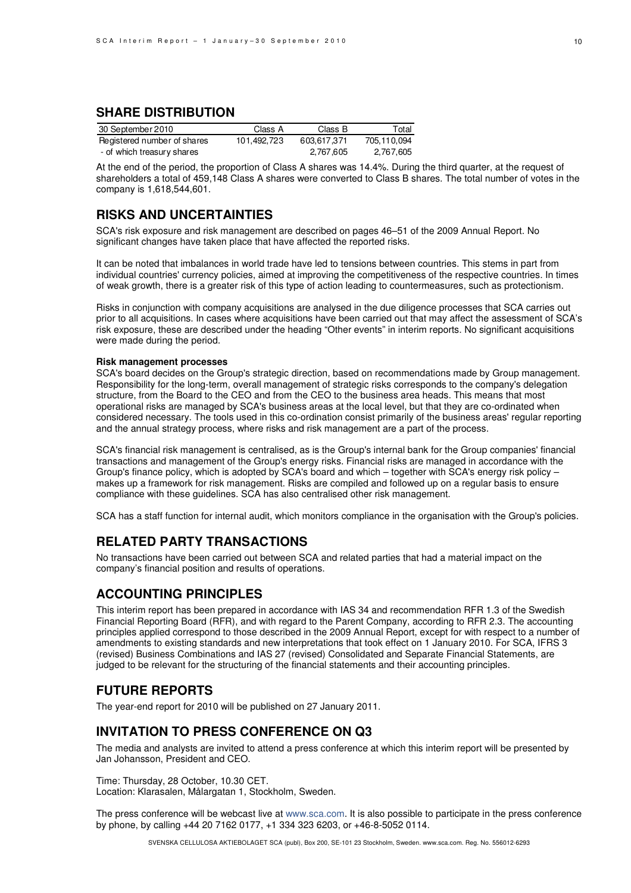# **SHARE DISTRIBUTION**

| 30 September 2010           | Class A     | Class B     | Total       |
|-----------------------------|-------------|-------------|-------------|
| Registered number of shares | 101,492,723 | 603.617.371 | 705,110,094 |
| - of which treasury shares  |             | 2,767,605   | 2,767,605   |

At the end of the period, the proportion of Class A shares was 14.4%. During the third quarter, at the request of shareholders a total of 459,148 Class A shares were converted to Class B shares. The total number of votes in the company is 1,618,544,601.

# **RISKS AND UNCERTAINTIES**

SCA's risk exposure and risk management are described on pages 46–51 of the 2009 Annual Report. No significant changes have taken place that have affected the reported risks.

It can be noted that imbalances in world trade have led to tensions between countries. This stems in part from individual countries' currency policies, aimed at improving the competitiveness of the respective countries. In times of weak growth, there is a greater risk of this type of action leading to countermeasures, such as protectionism.

Risks in conjunction with company acquisitions are analysed in the due diligence processes that SCA carries out prior to all acquisitions. In cases where acquisitions have been carried out that may affect the assessment of SCA's risk exposure, these are described under the heading "Other events" in interim reports. No significant acquisitions were made during the period.

#### **Risk management processes**

SCA's board decides on the Group's strategic direction, based on recommendations made by Group management. Responsibility for the long-term, overall management of strategic risks corresponds to the company's delegation structure, from the Board to the CEO and from the CEO to the business area heads. This means that most operational risks are managed by SCA's business areas at the local level, but that they are co-ordinated when considered necessary. The tools used in this co-ordination consist primarily of the business areas' regular reporting and the annual strategy process, where risks and risk management are a part of the process.

SCA's financial risk management is centralised, as is the Group's internal bank for the Group companies' financial transactions and management of the Group's energy risks. Financial risks are managed in accordance with the Group's finance policy, which is adopted by SCA's board and which – together with SCA's energy risk policy – makes up a framework for risk management. Risks are compiled and followed up on a regular basis to ensure compliance with these guidelines. SCA has also centralised other risk management.

SCA has a staff function for internal audit, which monitors compliance in the organisation with the Group's policies.

## **RELATED PARTY TRANSACTIONS**

No transactions have been carried out between SCA and related parties that had a material impact on the company's financial position and results of operations.

## **ACCOUNTING PRINCIPLES**

This interim report has been prepared in accordance with IAS 34 and recommendation RFR 1.3 of the Swedish Financial Reporting Board (RFR), and with regard to the Parent Company, according to RFR 2.3. The accounting principles applied correspond to those described in the 2009 Annual Report, except for with respect to a number of amendments to existing standards and new interpretations that took effect on 1 January 2010. For SCA, IFRS 3 (revised) Business Combinations and IAS 27 (revised) Consolidated and Separate Financial Statements, are judged to be relevant for the structuring of the financial statements and their accounting principles.

## **FUTURE REPORTS**

The year-end report for 2010 will be published on 27 January 2011.

## **INVITATION TO PRESS CONFERENCE ON Q3**

The media and analysts are invited to attend a press conference at which this interim report will be presented by Jan Johansson, President and CEO.

Time: Thursday, 28 October, 10.30 CET. Location: Klarasalen, Målargatan 1, Stockholm, Sweden.

The press conference will be webcast live at www.sca.com. It is also possible to participate in the press conference by phone, by calling +44 20 7162 0177, +1 334 323 6203, or +46-8-5052 0114.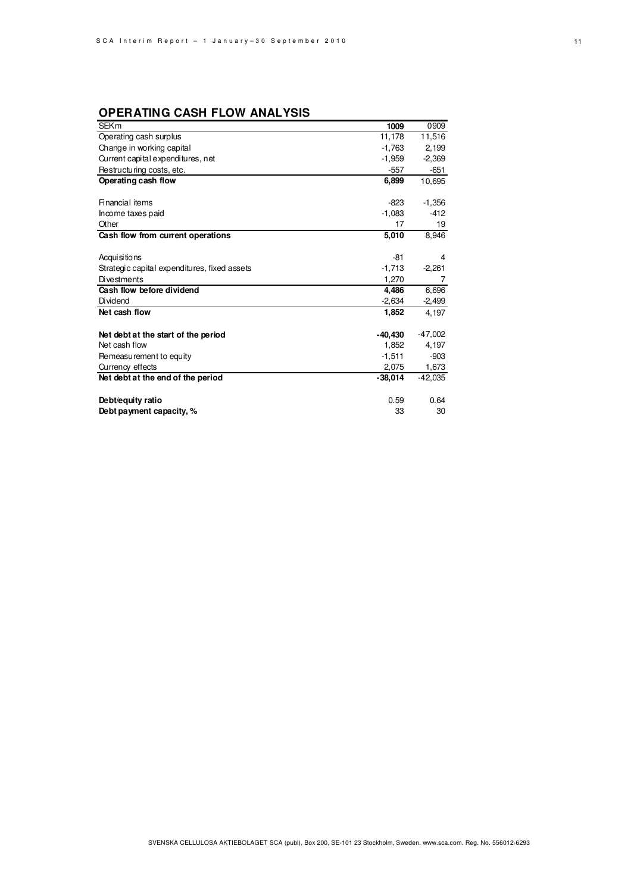# **OPERATING CASH FLOW ANALYSIS**

| <b>SEKm</b>                                  | 1009      | 0909      |
|----------------------------------------------|-----------|-----------|
| Operating cash surplus                       | 11,178    | 11,516    |
| Change in working capital                    | $-1,763$  | 2,199     |
| Current capital expenditures, net            | $-1,959$  | $-2,369$  |
| Restructuring costs, etc.                    | -557      | $-651$    |
| Operating cash flow                          | 6,899     | 10,695    |
|                                              |           |           |
| Financial items                              | $-823$    | $-1,356$  |
| Income taxes paid                            | $-1,083$  | $-412$    |
| Other                                        | 17        | 19        |
| Cash flow from current operations            | 5,010     | 8,946     |
|                                              |           |           |
| Acqui si tions                               | $-81$     | 4         |
| Strategic capital expenditures, fixed assets | $-1,713$  | $-2,261$  |
| <b>Divestments</b>                           | 1,270     | 7         |
| Cash flow before dividend                    | 4.486     | 6,696     |
| Dividend                                     | $-2,634$  | $-2,499$  |
| Net cash flow                                | 1,852     | 4.197     |
|                                              |           |           |
| Net debt at the start of the period          | $-40,430$ | $-47,002$ |
| Net cash flow                                | 1,852     | 4,197     |
| Remeasurement to equity                      | $-1,511$  | $-903$    |
| Currency effects                             | 2,075     | 1,673     |
| Net debt at the end of the period            | $-38,014$ | $-42,035$ |
|                                              |           |           |
| Debt/equity ratio                            | 0.59      | 0.64      |
| Debt payment capacity, %                     | 33        | 30        |
|                                              |           |           |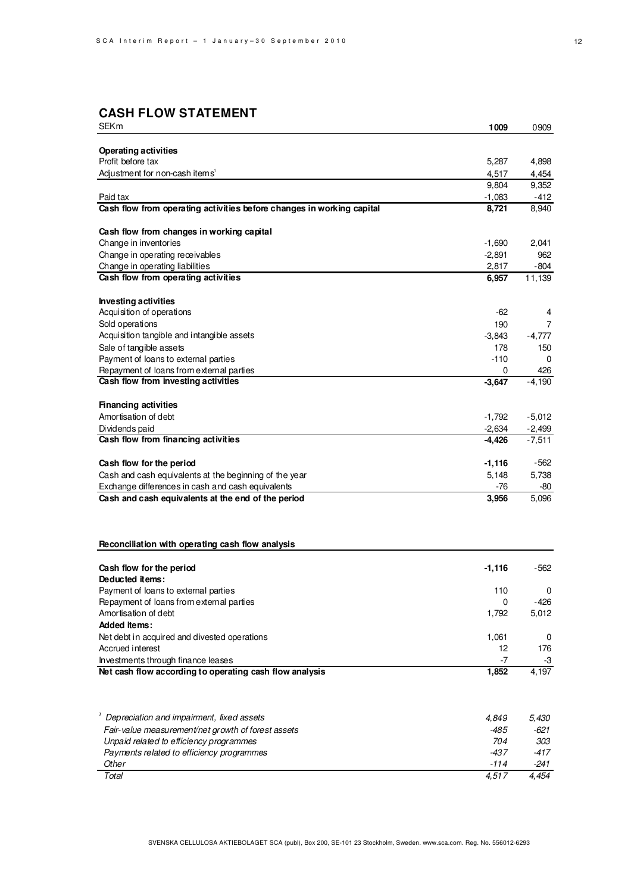# **CASH FLOW STATEMENT**

| <b>SEKm</b>                                                           | 1009     | 0909          |
|-----------------------------------------------------------------------|----------|---------------|
|                                                                       |          |               |
| <b>Operating activities</b>                                           |          |               |
| Profit before tax                                                     | 5,287    | 4,898         |
| Adjustment for non-cash items <sup>1</sup>                            | 4,517    | 4,454         |
|                                                                       | 9,804    | 9,352         |
| Paid tax                                                              | $-1,083$ | -412<br>8,940 |
| Cash flow from operating activities before changes in working capital | 8,721    |               |
| Cash flow from changes in working capital                             |          |               |
| Change in inventories                                                 | $-1,690$ | 2,041         |
| Change in operating receivables                                       | $-2,891$ | 962           |
| Change in operating liabilities                                       | 2,817    | -804          |
| Cash flow from operating activities                                   | 6,957    | 11,139        |
| <b>Investing activities</b>                                           |          |               |
| Acquisition of operations                                             | $-62$    | 4             |
| Sold operations                                                       | 190      | 7             |
| Acquisition tangible and intangible assets                            | -3,843   | $-4,777$      |
| Sale of tangible assets                                               | 178      | 150           |
| Payment of loans to external parties                                  | -110     | 0             |
| Repayment of loans from external parties                              | 0        | 426           |
| Cash flow from investing activities                                   | $-3,647$ | $-4,190$      |
| <b>Financing activities</b>                                           |          |               |
| Amortisation of debt                                                  | $-1,792$ | $-5,012$      |
| Dividends paid                                                        | $-2,634$ | $-2,499$      |
| Cash flow from financing activities                                   | $-4,426$ | $-7,511$      |
|                                                                       |          |               |
| Cash flow for the period                                              | $-1,116$ | -562          |
| Cash and cash equivalents at the beginning of the year                | 5,148    | 5,738         |
| Exchange differences in cash and cash equivalents                     | -76      | -80           |
| Cash and cash equivalents at the end of the period                    | 3,956    | 5,096         |
|                                                                       |          |               |
|                                                                       |          |               |
| Reconciliation with operating cash flow analysis                      |          |               |
| Cash flow for the period                                              | $-1,116$ | -562          |
| Deducted items:                                                       |          |               |
| Payment of loans to external parties                                  | 110      | 0             |
| Repayment of loans from external parties                              | 0        | -426          |
| Amortisation of debt                                                  | 1,792    | 5,012         |
| Added items:                                                          |          |               |
| Net debt in acquired and divested operations                          | 1,061    | 0             |
| Accrued interest                                                      | 12       | 176           |
| Investments through finance leases                                    | -7       | -3            |
| Net cash flow according to operating cash flow analysis               | 1,852    | 4,197         |
|                                                                       |          |               |
| Depreciation and impairment, fixed assets                             | 4,849    | 5,430         |
| Fair-value measurement/net growth of forest assets                    | -485     | -621          |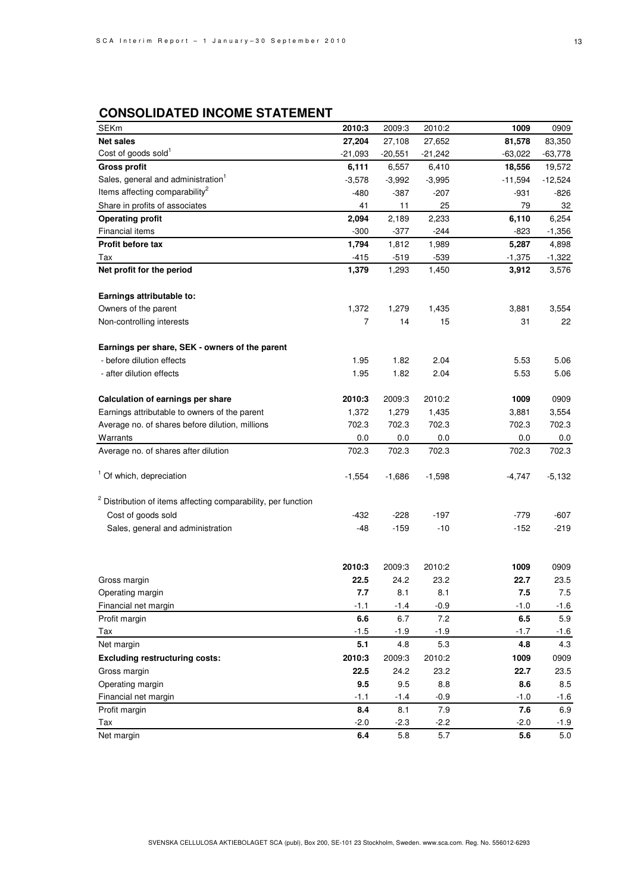# **CONSOLIDATED INCOME STATEMENT**

| <b>Net sales</b><br>27,204<br>27,652<br>81,578<br>83,350<br>27,108<br>Cost of goods sold <sup>1</sup><br>$-63,778$<br>$-21,093$<br>$-20,551$<br>$-21,242$<br>$-63,022$<br><b>Gross profit</b><br>6,111<br>6,557<br>6,410<br>18,556<br>19,572<br>Sales, general and administration <sup>1</sup><br>$-3,578$<br>$-3,995$<br>$-11,594$<br>$-12,524$<br>$-3,992$<br>Items affecting comparability <sup>2</sup><br>-480<br>$-387$<br>$-207$<br>$-826$<br>-931<br>Share in profits of associates<br>41<br>25<br>79<br>32<br>11<br>2,189<br>6,254<br><b>Operating profit</b><br>2,094<br>2,233<br>6,110<br><b>Financial items</b><br>$-300$<br>$-377$<br>$-244$<br>$-823$<br>$-1,356$<br>Profit before tax<br>1,794<br>1,812<br>1,989<br>5,287<br>4,898<br>$-539$<br>Tax<br>-415<br>$-519$<br>$-1,375$<br>$-1,322$<br>Net profit for the period<br>1,379<br>1,293<br>1,450<br>3,912<br>3,576<br>Earnings attributable to:<br>Owners of the parent<br>1,372<br>1,279<br>1,435<br>3,881<br>3,554<br>Non-controlling interests<br>7<br>14<br>15<br>31<br>22<br>Earnings per share, SEK - owners of the parent<br>- before dilution effects<br>1.95<br>1.82<br>2.04<br>5.53<br>5.06<br>- after dilution effects<br>1.95<br>1.82<br>2.04<br>5.53<br>5.06<br>Calculation of earnings per share<br>2010:3<br>2009:3<br>1009<br>0909<br>2010:2<br>Earnings attributable to owners of the parent<br>1,372<br>1,435<br>3,554<br>1,279<br>3,881<br>Average no. of shares before dilution, millions<br>702.3<br>702.3<br>702.3<br>702.3<br>702.3<br>0.0<br>0.0<br>0.0<br>Warrants<br>0.0<br>0.0<br>702.3<br>Average no. of shares after dilution<br>702.3<br>702.3<br>702.3<br>702.3<br><sup>1</sup> Of which, depreciation<br>$-1,554$<br>$-1,686$<br>$-1,598$<br>$-4,747$<br>$-5,132$<br><sup>2</sup> Distribution of items affecting comparability, per function |
|--------------------------------------------------------------------------------------------------------------------------------------------------------------------------------------------------------------------------------------------------------------------------------------------------------------------------------------------------------------------------------------------------------------------------------------------------------------------------------------------------------------------------------------------------------------------------------------------------------------------------------------------------------------------------------------------------------------------------------------------------------------------------------------------------------------------------------------------------------------------------------------------------------------------------------------------------------------------------------------------------------------------------------------------------------------------------------------------------------------------------------------------------------------------------------------------------------------------------------------------------------------------------------------------------------------------------------------------------------------------------------------------------------------------------------------------------------------------------------------------------------------------------------------------------------------------------------------------------------------------------------------------------------------------------------------------------------------------------------------------------------------------------------------------------------------------------------------------------|
|                                                                                                                                                                                                                                                                                                                                                                                                                                                                                                                                                                                                                                                                                                                                                                                                                                                                                                                                                                                                                                                                                                                                                                                                                                                                                                                                                                                                                                                                                                                                                                                                                                                                                                                                                                                                                                                  |
|                                                                                                                                                                                                                                                                                                                                                                                                                                                                                                                                                                                                                                                                                                                                                                                                                                                                                                                                                                                                                                                                                                                                                                                                                                                                                                                                                                                                                                                                                                                                                                                                                                                                                                                                                                                                                                                  |
|                                                                                                                                                                                                                                                                                                                                                                                                                                                                                                                                                                                                                                                                                                                                                                                                                                                                                                                                                                                                                                                                                                                                                                                                                                                                                                                                                                                                                                                                                                                                                                                                                                                                                                                                                                                                                                                  |
|                                                                                                                                                                                                                                                                                                                                                                                                                                                                                                                                                                                                                                                                                                                                                                                                                                                                                                                                                                                                                                                                                                                                                                                                                                                                                                                                                                                                                                                                                                                                                                                                                                                                                                                                                                                                                                                  |
|                                                                                                                                                                                                                                                                                                                                                                                                                                                                                                                                                                                                                                                                                                                                                                                                                                                                                                                                                                                                                                                                                                                                                                                                                                                                                                                                                                                                                                                                                                                                                                                                                                                                                                                                                                                                                                                  |
|                                                                                                                                                                                                                                                                                                                                                                                                                                                                                                                                                                                                                                                                                                                                                                                                                                                                                                                                                                                                                                                                                                                                                                                                                                                                                                                                                                                                                                                                                                                                                                                                                                                                                                                                                                                                                                                  |
|                                                                                                                                                                                                                                                                                                                                                                                                                                                                                                                                                                                                                                                                                                                                                                                                                                                                                                                                                                                                                                                                                                                                                                                                                                                                                                                                                                                                                                                                                                                                                                                                                                                                                                                                                                                                                                                  |
|                                                                                                                                                                                                                                                                                                                                                                                                                                                                                                                                                                                                                                                                                                                                                                                                                                                                                                                                                                                                                                                                                                                                                                                                                                                                                                                                                                                                                                                                                                                                                                                                                                                                                                                                                                                                                                                  |
|                                                                                                                                                                                                                                                                                                                                                                                                                                                                                                                                                                                                                                                                                                                                                                                                                                                                                                                                                                                                                                                                                                                                                                                                                                                                                                                                                                                                                                                                                                                                                                                                                                                                                                                                                                                                                                                  |
|                                                                                                                                                                                                                                                                                                                                                                                                                                                                                                                                                                                                                                                                                                                                                                                                                                                                                                                                                                                                                                                                                                                                                                                                                                                                                                                                                                                                                                                                                                                                                                                                                                                                                                                                                                                                                                                  |
|                                                                                                                                                                                                                                                                                                                                                                                                                                                                                                                                                                                                                                                                                                                                                                                                                                                                                                                                                                                                                                                                                                                                                                                                                                                                                                                                                                                                                                                                                                                                                                                                                                                                                                                                                                                                                                                  |
|                                                                                                                                                                                                                                                                                                                                                                                                                                                                                                                                                                                                                                                                                                                                                                                                                                                                                                                                                                                                                                                                                                                                                                                                                                                                                                                                                                                                                                                                                                                                                                                                                                                                                                                                                                                                                                                  |
|                                                                                                                                                                                                                                                                                                                                                                                                                                                                                                                                                                                                                                                                                                                                                                                                                                                                                                                                                                                                                                                                                                                                                                                                                                                                                                                                                                                                                                                                                                                                                                                                                                                                                                                                                                                                                                                  |
|                                                                                                                                                                                                                                                                                                                                                                                                                                                                                                                                                                                                                                                                                                                                                                                                                                                                                                                                                                                                                                                                                                                                                                                                                                                                                                                                                                                                                                                                                                                                                                                                                                                                                                                                                                                                                                                  |
|                                                                                                                                                                                                                                                                                                                                                                                                                                                                                                                                                                                                                                                                                                                                                                                                                                                                                                                                                                                                                                                                                                                                                                                                                                                                                                                                                                                                                                                                                                                                                                                                                                                                                                                                                                                                                                                  |
|                                                                                                                                                                                                                                                                                                                                                                                                                                                                                                                                                                                                                                                                                                                                                                                                                                                                                                                                                                                                                                                                                                                                                                                                                                                                                                                                                                                                                                                                                                                                                                                                                                                                                                                                                                                                                                                  |
|                                                                                                                                                                                                                                                                                                                                                                                                                                                                                                                                                                                                                                                                                                                                                                                                                                                                                                                                                                                                                                                                                                                                                                                                                                                                                                                                                                                                                                                                                                                                                                                                                                                                                                                                                                                                                                                  |
|                                                                                                                                                                                                                                                                                                                                                                                                                                                                                                                                                                                                                                                                                                                                                                                                                                                                                                                                                                                                                                                                                                                                                                                                                                                                                                                                                                                                                                                                                                                                                                                                                                                                                                                                                                                                                                                  |
|                                                                                                                                                                                                                                                                                                                                                                                                                                                                                                                                                                                                                                                                                                                                                                                                                                                                                                                                                                                                                                                                                                                                                                                                                                                                                                                                                                                                                                                                                                                                                                                                                                                                                                                                                                                                                                                  |
|                                                                                                                                                                                                                                                                                                                                                                                                                                                                                                                                                                                                                                                                                                                                                                                                                                                                                                                                                                                                                                                                                                                                                                                                                                                                                                                                                                                                                                                                                                                                                                                                                                                                                                                                                                                                                                                  |
|                                                                                                                                                                                                                                                                                                                                                                                                                                                                                                                                                                                                                                                                                                                                                                                                                                                                                                                                                                                                                                                                                                                                                                                                                                                                                                                                                                                                                                                                                                                                                                                                                                                                                                                                                                                                                                                  |
|                                                                                                                                                                                                                                                                                                                                                                                                                                                                                                                                                                                                                                                                                                                                                                                                                                                                                                                                                                                                                                                                                                                                                                                                                                                                                                                                                                                                                                                                                                                                                                                                                                                                                                                                                                                                                                                  |
|                                                                                                                                                                                                                                                                                                                                                                                                                                                                                                                                                                                                                                                                                                                                                                                                                                                                                                                                                                                                                                                                                                                                                                                                                                                                                                                                                                                                                                                                                                                                                                                                                                                                                                                                                                                                                                                  |
|                                                                                                                                                                                                                                                                                                                                                                                                                                                                                                                                                                                                                                                                                                                                                                                                                                                                                                                                                                                                                                                                                                                                                                                                                                                                                                                                                                                                                                                                                                                                                                                                                                                                                                                                                                                                                                                  |
|                                                                                                                                                                                                                                                                                                                                                                                                                                                                                                                                                                                                                                                                                                                                                                                                                                                                                                                                                                                                                                                                                                                                                                                                                                                                                                                                                                                                                                                                                                                                                                                                                                                                                                                                                                                                                                                  |
|                                                                                                                                                                                                                                                                                                                                                                                                                                                                                                                                                                                                                                                                                                                                                                                                                                                                                                                                                                                                                                                                                                                                                                                                                                                                                                                                                                                                                                                                                                                                                                                                                                                                                                                                                                                                                                                  |
| Cost of goods sold<br>-432<br>$-228$<br>$-197$<br>-779<br>$-607$                                                                                                                                                                                                                                                                                                                                                                                                                                                                                                                                                                                                                                                                                                                                                                                                                                                                                                                                                                                                                                                                                                                                                                                                                                                                                                                                                                                                                                                                                                                                                                                                                                                                                                                                                                                 |
| Sales, general and administration<br>-48<br>-159<br>$-10$<br>$-152$<br>$-219$                                                                                                                                                                                                                                                                                                                                                                                                                                                                                                                                                                                                                                                                                                                                                                                                                                                                                                                                                                                                                                                                                                                                                                                                                                                                                                                                                                                                                                                                                                                                                                                                                                                                                                                                                                    |
|                                                                                                                                                                                                                                                                                                                                                                                                                                                                                                                                                                                                                                                                                                                                                                                                                                                                                                                                                                                                                                                                                                                                                                                                                                                                                                                                                                                                                                                                                                                                                                                                                                                                                                                                                                                                                                                  |
| 2010:3<br>2009:3<br>2010:2<br>1009<br>0909                                                                                                                                                                                                                                                                                                                                                                                                                                                                                                                                                                                                                                                                                                                                                                                                                                                                                                                                                                                                                                                                                                                                                                                                                                                                                                                                                                                                                                                                                                                                                                                                                                                                                                                                                                                                       |
| 22.5<br>24.2<br>23.2<br>Gross margin<br>22.7<br>23.5                                                                                                                                                                                                                                                                                                                                                                                                                                                                                                                                                                                                                                                                                                                                                                                                                                                                                                                                                                                                                                                                                                                                                                                                                                                                                                                                                                                                                                                                                                                                                                                                                                                                                                                                                                                             |
| 8.1<br>7.5<br>7.5<br>Operating margin<br>7.7<br>8.1                                                                                                                                                                                                                                                                                                                                                                                                                                                                                                                                                                                                                                                                                                                                                                                                                                                                                                                                                                                                                                                                                                                                                                                                                                                                                                                                                                                                                                                                                                                                                                                                                                                                                                                                                                                              |
| Financial net margin<br>$-1.1$<br>$-1.4$<br>$-0.9$<br>$-1.0$<br>$-1.6$                                                                                                                                                                                                                                                                                                                                                                                                                                                                                                                                                                                                                                                                                                                                                                                                                                                                                                                                                                                                                                                                                                                                                                                                                                                                                                                                                                                                                                                                                                                                                                                                                                                                                                                                                                           |
| 6.6<br>7.2<br>5.9<br>6.7<br>6.5<br>Profit margin                                                                                                                                                                                                                                                                                                                                                                                                                                                                                                                                                                                                                                                                                                                                                                                                                                                                                                                                                                                                                                                                                                                                                                                                                                                                                                                                                                                                                                                                                                                                                                                                                                                                                                                                                                                                 |
| $-1.5$<br>Tax<br>$-1.9$<br>$-1.9$<br>$-1.7$<br>$-1.6$                                                                                                                                                                                                                                                                                                                                                                                                                                                                                                                                                                                                                                                                                                                                                                                                                                                                                                                                                                                                                                                                                                                                                                                                                                                                                                                                                                                                                                                                                                                                                                                                                                                                                                                                                                                            |
| Net margin<br>5.1<br>4.8<br>5.3<br>4.8<br>4.3                                                                                                                                                                                                                                                                                                                                                                                                                                                                                                                                                                                                                                                                                                                                                                                                                                                                                                                                                                                                                                                                                                                                                                                                                                                                                                                                                                                                                                                                                                                                                                                                                                                                                                                                                                                                    |
| <b>Excluding restructuring costs:</b><br>2010:3<br>0909<br>2009:3<br>1009                                                                                                                                                                                                                                                                                                                                                                                                                                                                                                                                                                                                                                                                                                                                                                                                                                                                                                                                                                                                                                                                                                                                                                                                                                                                                                                                                                                                                                                                                                                                                                                                                                                                                                                                                                        |
| 2010:2<br>23.2<br>23.5<br>Gross margin<br>22.5<br>24.2<br>22.7                                                                                                                                                                                                                                                                                                                                                                                                                                                                                                                                                                                                                                                                                                                                                                                                                                                                                                                                                                                                                                                                                                                                                                                                                                                                                                                                                                                                                                                                                                                                                                                                                                                                                                                                                                                   |
| Operating margin<br>8.8<br>8.5<br>9.5<br>9.5<br>8.6                                                                                                                                                                                                                                                                                                                                                                                                                                                                                                                                                                                                                                                                                                                                                                                                                                                                                                                                                                                                                                                                                                                                                                                                                                                                                                                                                                                                                                                                                                                                                                                                                                                                                                                                                                                              |
| Financial net margin<br>$-1.1$<br>$-0.9$<br>$-1.6$<br>$-1.4$<br>$-1.0$                                                                                                                                                                                                                                                                                                                                                                                                                                                                                                                                                                                                                                                                                                                                                                                                                                                                                                                                                                                                                                                                                                                                                                                                                                                                                                                                                                                                                                                                                                                                                                                                                                                                                                                                                                           |
| $7.9$<br>8.4<br>7.6<br>6.9<br>Profit margin<br>8.1                                                                                                                                                                                                                                                                                                                                                                                                                                                                                                                                                                                                                                                                                                                                                                                                                                                                                                                                                                                                                                                                                                                                                                                                                                                                                                                                                                                                                                                                                                                                                                                                                                                                                                                                                                                               |
| $-2.0$<br>$-2.3$<br>$-2.2$<br>$-2.0$<br>Tax<br>$-1.9$                                                                                                                                                                                                                                                                                                                                                                                                                                                                                                                                                                                                                                                                                                                                                                                                                                                                                                                                                                                                                                                                                                                                                                                                                                                                                                                                                                                                                                                                                                                                                                                                                                                                                                                                                                                            |
| 6.4<br>5.8<br>$5.7\,$<br>5.6<br>$5.0\,$<br>Net margin                                                                                                                                                                                                                                                                                                                                                                                                                                                                                                                                                                                                                                                                                                                                                                                                                                                                                                                                                                                                                                                                                                                                                                                                                                                                                                                                                                                                                                                                                                                                                                                                                                                                                                                                                                                            |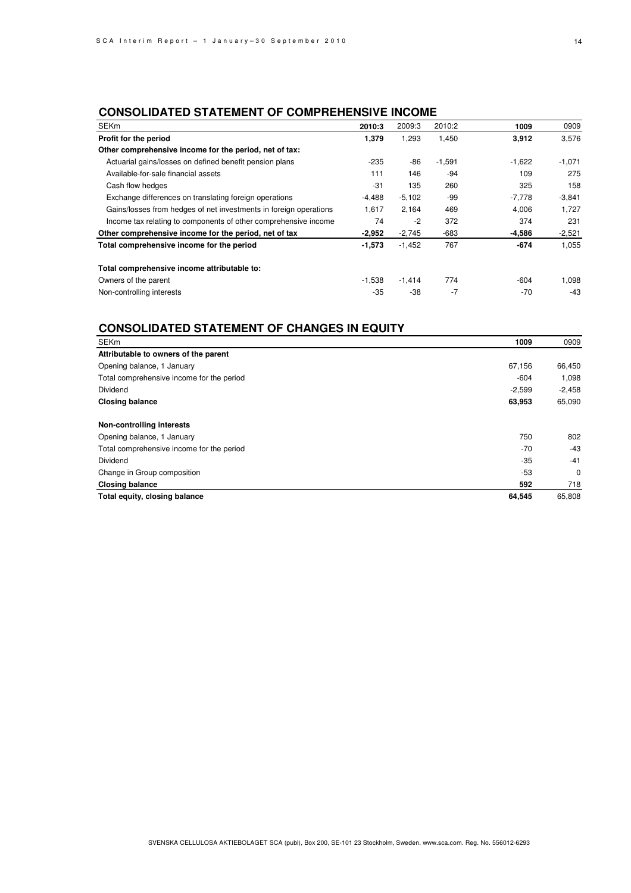# **CONSOLIDATED STATEMENT OF COMPREHENSIVE INCOME**

| <b>SEKm</b>                                                       | 2010:3   | 2009:3   | 2010:2   | 1009     | 0909     |
|-------------------------------------------------------------------|----------|----------|----------|----------|----------|
| Profit for the period                                             | 1,379    | 1,293    | 1,450    | 3,912    | 3,576    |
| Other comprehensive income for the period, net of tax:            |          |          |          |          |          |
| Actuarial gains/losses on defined benefit pension plans           | $-235$   | -86      | $-1,591$ | $-1,622$ | $-1,071$ |
| Available-for-sale financial assets                               | 111      | 146      | -94      | 109      | 275      |
| Cash flow hedges                                                  | -31      | 135      | 260      | 325      | 158      |
| Exchange differences on translating foreign operations            | $-4,488$ | $-5,102$ | -99      | $-7,778$ | $-3,841$ |
| Gains/losses from hedges of net investments in foreign operations | 1,617    | 2,164    | 469      | 4,006    | 1,727    |
| Income tax relating to components of other comprehensive income   | 74       | $-2$     | 372      | 374      | 231      |
| Other comprehensive income for the period, net of tax             | $-2,952$ | $-2,745$ | -683     | -4,586   | $-2,521$ |
| Total comprehensive income for the period                         | $-1,573$ | $-1,452$ | 767      | $-674$   | 1,055    |
| Total comprehensive income attributable to:                       |          |          |          |          |          |
| Owners of the parent                                              | $-1,538$ | $-1,414$ | 774      | -604     | 1,098    |
| Non-controlling interests                                         | -35      | -38      | $-7$     | $-70$    | $-43$    |

# **CONSOLIDATED STATEMENT OF CHANGES IN EQUITY**

| <b>SEKm</b>                               | 1009     | 0909        |
|-------------------------------------------|----------|-------------|
| Attributable to owners of the parent      |          |             |
| Opening balance, 1 January                | 67,156   | 66,450      |
| Total comprehensive income for the period | $-604$   | 1,098       |
| <b>Dividend</b>                           | $-2,599$ | $-2,458$    |
| <b>Closing balance</b>                    | 63,953   | 65,090      |
| Non-controlling interests                 |          |             |
| Opening balance, 1 January                | 750      | 802         |
| Total comprehensive income for the period | $-70$    | $-43$       |
| <b>Dividend</b>                           | $-35$    | $-41$       |
| Change in Group composition               | -53      | $\mathbf 0$ |
| <b>Closing balance</b>                    | 592      | 718         |
| Total equity, closing balance             | 64,545   | 65,808      |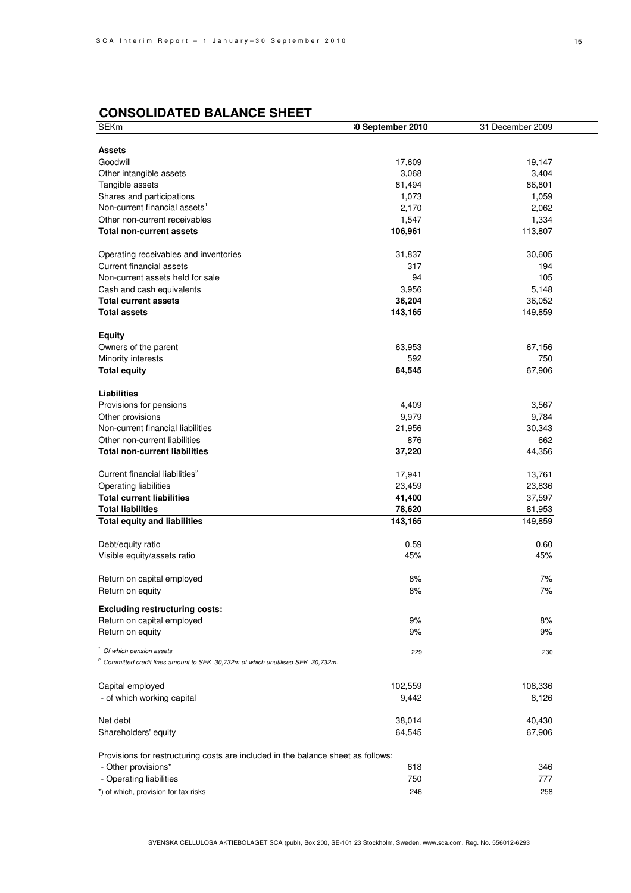# **CONSOLIDATED BALANCE SHEET**

| SEKm                                                                                       | 0 September 2010 | 31 December 2009 |
|--------------------------------------------------------------------------------------------|------------------|------------------|
|                                                                                            |                  |                  |
| <b>Assets</b>                                                                              |                  |                  |
| Goodwill                                                                                   | 17,609           | 19,147           |
| Other intangible assets                                                                    | 3,068            | 3,404            |
| Tangible assets                                                                            | 81,494           | 86,801           |
| Shares and participations                                                                  | 1,073            | 1,059            |
| Non-current financial assets <sup>1</sup>                                                  | 2,170            | 2,062            |
| Other non-current receivables                                                              | 1,547            | 1,334            |
| <b>Total non-current assets</b>                                                            | 106,961          | 113,807          |
| Operating receivables and inventories                                                      | 31,837           | 30,605           |
| Current financial assets                                                                   | 317              | 194              |
| Non-current assets held for sale                                                           | 94               | 105              |
| Cash and cash equivalents                                                                  | 3,956            | 5,148            |
| <b>Total current assets</b>                                                                | 36,204           | 36,052           |
| <b>Total assets</b>                                                                        | 143,165          | 149,859          |
| <b>Equity</b>                                                                              |                  |                  |
| Owners of the parent                                                                       | 63,953           | 67,156           |
| Minority interests                                                                         | 592              | 750              |
| <b>Total equity</b>                                                                        | 64,545           | 67,906           |
| <b>Liabilities</b>                                                                         |                  |                  |
| Provisions for pensions                                                                    | 4,409            | 3,567            |
| Other provisions                                                                           | 9,979            | 9,784            |
| Non-current financial liabilities                                                          | 21,956           | 30,343           |
| Other non-current liabilities                                                              | 876              | 662              |
| <b>Total non-current liabilities</b>                                                       | 37,220           | 44,356           |
|                                                                                            |                  |                  |
| Current financial liabilities <sup>2</sup>                                                 | 17,941           | 13,761           |
| Operating liabilities                                                                      | 23,459           | 23,836           |
| <b>Total current liabilities</b>                                                           | 41,400           | 37,597           |
| <b>Total liabilities</b>                                                                   | 78,620           | 81,953           |
| <b>Total equity and liabilities</b>                                                        | 143,165          | 149,859          |
|                                                                                            |                  |                  |
| Debt/equity ratio                                                                          | 0.59             | 0.60             |
| Visible equity/assets ratio                                                                | 45%              | 45%              |
| Return on capital employed                                                                 | 8%               | 7%               |
| Return on equity                                                                           | 8%               | 7%               |
| <b>Excluding restructuring costs:</b>                                                      |                  |                  |
| Return on capital employed                                                                 | 9%               | 8%               |
| Return on equity                                                                           | 9%               | 9%               |
|                                                                                            |                  |                  |
| <sup>1</sup> Of which pension assets                                                       | 229              | 230              |
| <sup>2</sup> Committed credit lines amount to SEK 30,732m of which unutilised SEK 30,732m. |                  |                  |
| Capital employed                                                                           | 102,559          | 108,336          |
| - of which working capital                                                                 | 9,442            | 8,126            |
|                                                                                            |                  |                  |
| Net debt                                                                                   | 38,014           | 40,430           |
| Shareholders' equity                                                                       | 64,545           | 67,906           |
| Provisions for restructuring costs are included in the balance sheet as follows:           |                  |                  |
| - Other provisions*                                                                        | 618              | 346              |
| - Operating liabilities                                                                    | 750              | 777              |
| *) of which, provision for tax risks                                                       | 246              | 258              |
|                                                                                            |                  |                  |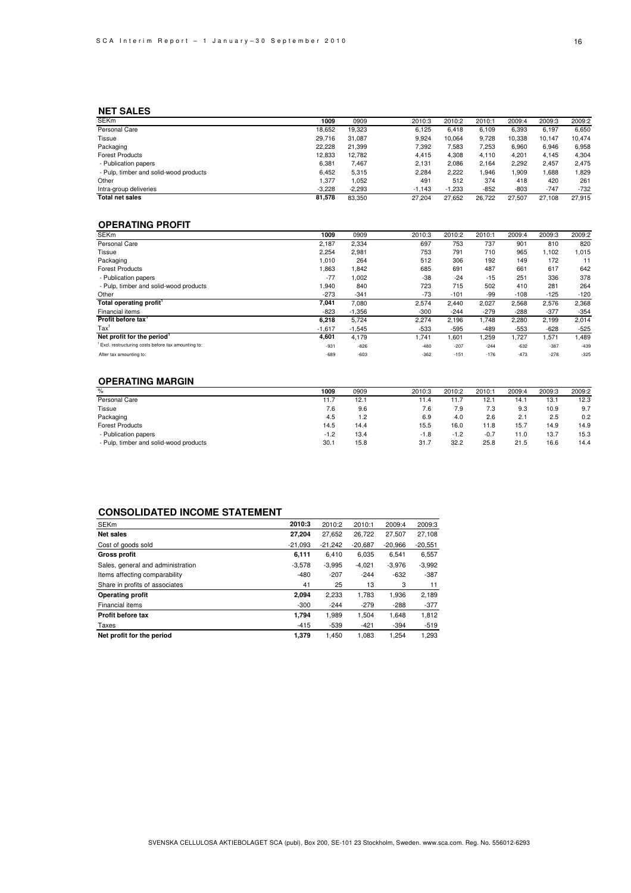### **NET SALES**

| <b>SEKm</b>                            | 1009     | 0909     | 2010:3   | 2010:2   | 2010:1 | 2009:4 | 2009:3 | 2009:2 |
|----------------------------------------|----------|----------|----------|----------|--------|--------|--------|--------|
| Personal Care                          | 18.652   | 19,323   | 6.125    | 6.418    | 6,109  | 6,393  | 6,197  | 6,650  |
| Tissue                                 | 29.716   | 31.087   | 9.924    | 10.064   | 9,728  | 10,338 | 10.147 | 10,474 |
| Packaging                              | 22.228   | 21.399   | 7,392    | 7,583    | 7.253  | 6.960  | 6,946  | 6,958  |
| <b>Forest Products</b>                 | 12.833   | 12.782   | 4.415    | 4,308    | 4.110  | 4.201  | 4.145  | 4,304  |
| - Publication papers                   | 6,381    | 7.467    | 2.131    | 2.086    | 2,164  | 2,292  | 2.457  | 2.475  |
| - Pulp, timber and solid-wood products | 6.452    | 5,315    | 2,284    | 2,222    | ,946   | .909   | .688   | .829   |
| Other                                  | 1.377    | 1,052    | 491      | 512      | 374    | 418    | 420    | 261    |
| Intra-group deliveries                 | $-3.228$ | $-2.293$ | $-1.143$ | $-1.233$ | $-852$ | $-803$ | $-747$ | $-732$ |
| <b>Total net sales</b>                 | 81.578   | 83.350   | 27.204   | 27.652   | 26.722 | 27.507 | 27.108 | 27.915 |

### **OPERATING PROFIT**

| <b>SEKm</b>                                        | 1009     | 0909     | 2010:3 | 2010:2 | 2010:1 | 2009:4 | 2009:3 | 2009:2 |
|----------------------------------------------------|----------|----------|--------|--------|--------|--------|--------|--------|
| Personal Care                                      | 2,187    | 2,334    | 697    | 753    | 737    | 901    | 810    | 820    |
| Tissue                                             | 2,254    | 2,981    | 753    | 791    | 710    | 965    | 1.102  | 1,015  |
| Packaging                                          | 1,010    | 264      | 512    | 306    | 192    | 149    | 172    | 11     |
| <b>Forest Products</b>                             | 1,863    | 1.842    | 685    | 691    | 487    | 661    | 617    | 642    |
| - Publication papers                               | $-77$    | 1,002    | $-38$  | $-24$  | $-15$  | 251    | 336    | 378    |
| - Pulp, timber and solid-wood products             | 1,940    | 840      | 723    | 715    | 502    | 410    | 281    | 264    |
| Other                                              | $-273$   | $-341$   | -73    | $-101$ | -99    | $-108$ | $-125$ | $-120$ |
| Total operating profit'                            | 7,041    | 7,080    | 2,574  | 2,440  | 2,027  | 2,568  | 2,576  | 2,368  |
| Financial items                                    | $-823$   | $-1.356$ | $-300$ | $-244$ | $-279$ | $-288$ | $-377$ | $-354$ |
| Profit before tax                                  | 6,218    | 5,724    | 2,274  | 2,196  | 1,748  | 2,280  | 2,199  | 2,014  |
| $\text{Tax}^1$                                     | $-1,617$ | $-1,545$ | $-533$ | $-595$ | -489   | $-553$ | $-628$ | $-525$ |
| Net profit for the period <sup>1</sup>             | 4,601    | 4.179    | 1.741  | 1,601  | 1,259  | 1,727  | 1,571  | 1,489  |
| Excl. restructuring costs before tax amounting to: | $-931$   | $-826$   | $-480$ | $-207$ | $-244$ | $-632$ | $-387$ | $-439$ |
| After tax amounting to:                            | $-689$   | $-603$   | $-362$ | $-151$ | $-176$ | $-473$ | $-278$ | $-325$ |

### **OPERATING MARGIN**

| %                                      | 1009   | 0909 | 2010:3 | 2010:2 | 2010:1 | 2009:4 | 2009:3 | 2009:2 |
|----------------------------------------|--------|------|--------|--------|--------|--------|--------|--------|
| Personal Care                          | 1.7    | 12.1 | 11.4   | 11.7   | 12.7   | 14.1   | 13.1   | 12.3   |
| Tissue                                 | 7.6    | 9.6  | 7.6    | 7.9    | 7.3    | 9.3    | 10.9   | 9.7    |
| Packaging                              | 4.5    | 1.2  | 6.9    | 4.0    | 2.6    | 2.1    | 2.5    | 0.2    |
| <b>Forest Products</b>                 | 14.5   | 14.4 | 15.5   | 16.0   | 11.8   | 15.7   | 14.9   | 14.9   |
| - Publication papers                   | $-1.2$ | 13.4 | $-1.8$ | $-1.2$ | $-0.7$ | 11.0   | 13.7   | 15.3   |
| - Pulp, timber and solid-wood products | 30.7   | 15.8 | 31.7   | 32.2   | 25.8   | 21.5   | 16.6   | 14.4   |
|                                        |        |      |        |        |        |        |        |        |

### **CONSOLIDATED INCOME STATEMENT**

| <b>SEKm</b>                       | 2010:3    | 2010:2    | 2010:1    | 2009:4    | 2009:3    |
|-----------------------------------|-----------|-----------|-----------|-----------|-----------|
| Net sales                         | 27,204    | 27.652    | 26,722    | 27,507    | 27,108    |
| Cost of goods sold                | $-21.093$ | $-21.242$ | $-20.687$ | $-20.966$ | $-20.551$ |
| <b>Gross profit</b>               | 6,111     | 6.410     | 6,035     | 6,541     | 6,557     |
| Sales, general and administration | $-3.578$  | $-3,995$  | $-4.021$  | $-3.976$  | $-3,992$  |
| Items affecting comparability     | -480      | $-207$    | $-244$    | $-632$    | $-387$    |
| Share in profits of associates    | 41        | 25        | 13        | 3         | 11        |
| <b>Operating profit</b>           | 2.094     | 2,233     | 1.783     | 1,936     | 2,189     |
| Financial items                   | $-300$    | $-244$    | $-279$    | $-288$    | $-377$    |
| Profit before tax                 | 1.794     | 1.989     | 1.504     | 1.648     | 1,812     |
| Taxes                             | $-415$    | $-539$    | $-421$    | $-394$    | $-519$    |
| Net profit for the period         | 1.379     | 1.450     | 1.083     | 1.254     | 1.293     |